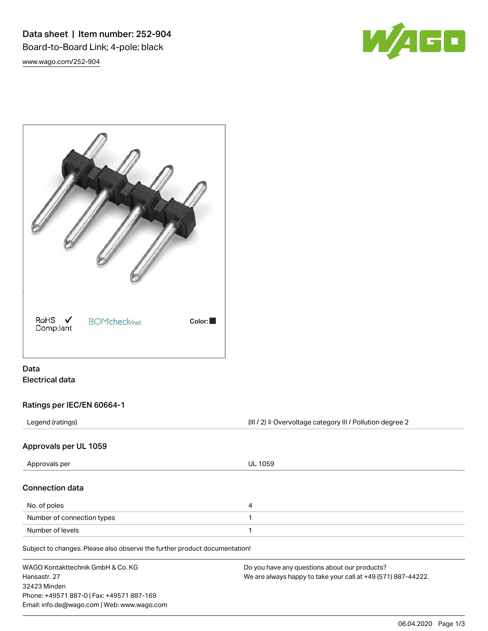Data sheet | Item number: 252-904 Board-to-Board Link; 4-pole; black [www.wago.com/252-904](http://www.wago.com/252-904)





# Data Electrical data

# Ratings per IEC/EN 60664-1

Legend (ratings) (III / 2) ≙ Overvoltage category III / Pollution degree 2

## Approvals per UL 1059

| 4 |
|---|
|   |
|   |
|   |

WAGO Kontakttechnik GmbH & Co. KG Hansastr. 27 32423 Minden Phone: +49571 887-0 | Fax: +49571 887-169 Email: info.de@wago.com | Web: www.wago.com Do you have any questions about our products? We are always happy to take your call at +49 (571) 887-44222.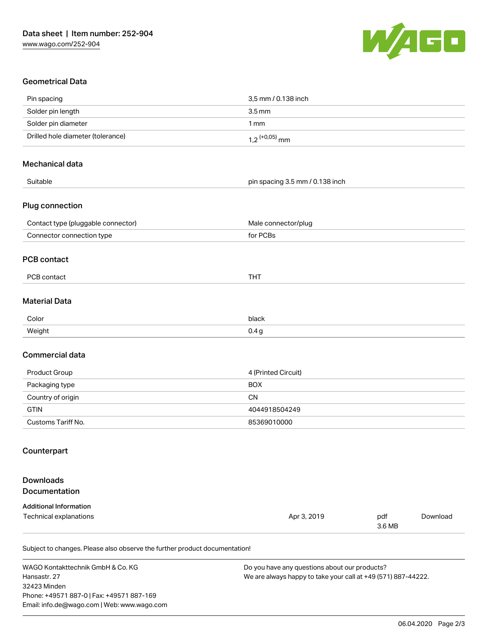

# Geometrical Data

| Pin spacing                        | 3,5 mm / 0.138 inch             |  |
|------------------------------------|---------------------------------|--|
| Solder pin length                  | 3.5 <sub>mm</sub>               |  |
| Solder pin diameter                | 1 <sub>mm</sub>                 |  |
| Drilled hole diameter (tolerance)  | $1,2$ $(+0.05)$ mm              |  |
| Mechanical data                    |                                 |  |
| Suitable                           | pin spacing 3.5 mm / 0.138 inch |  |
| Plug connection                    |                                 |  |
| Contact type (pluggable connector) | Male connector/plug             |  |
| Connector connection type          | for PCBs                        |  |
| <b>PCB contact</b>                 |                                 |  |
| PCB contact                        | <b>THT</b>                      |  |
| <b>Material Data</b>               |                                 |  |
| Color                              | black                           |  |
| Weight                             | 0.4 <sub>g</sub>                |  |
| Commercial data                    |                                 |  |
| Product Group                      | 4 (Printed Circuit)             |  |
| Packaging type                     | <b>BOX</b>                      |  |
| Country of origin                  | <b>CN</b>                       |  |
| <b>GTIN</b>                        | 4044918504249                   |  |
| Customs Tariff No.                 | 85369010000                     |  |
| Counterpart                        |                                 |  |
| <b>Downloads</b><br>Documentation  |                                 |  |
| <b>Additional Information</b>      |                                 |  |

Technical explanations and the set of the set of the set of the set of the set of the set of the set of the set of the set of the set of the set of the set of the set of the set of the set of the set of the set of the set 3.6 MB [Download](https://www.wago.com/de/d/1435602)

Subject to changes. Please also observe the further product documentation!

WAGO Kontakttechnik GmbH & Co. KG Hansastr. 27 32423 Minden Phone: +49571 887-0 | Fax: +49571 887-169 Email: info.de@wago.com | Web: www.wago.com

Do you have any questions about our products? We are always happy to take your call at +49 (571) 887-44222.